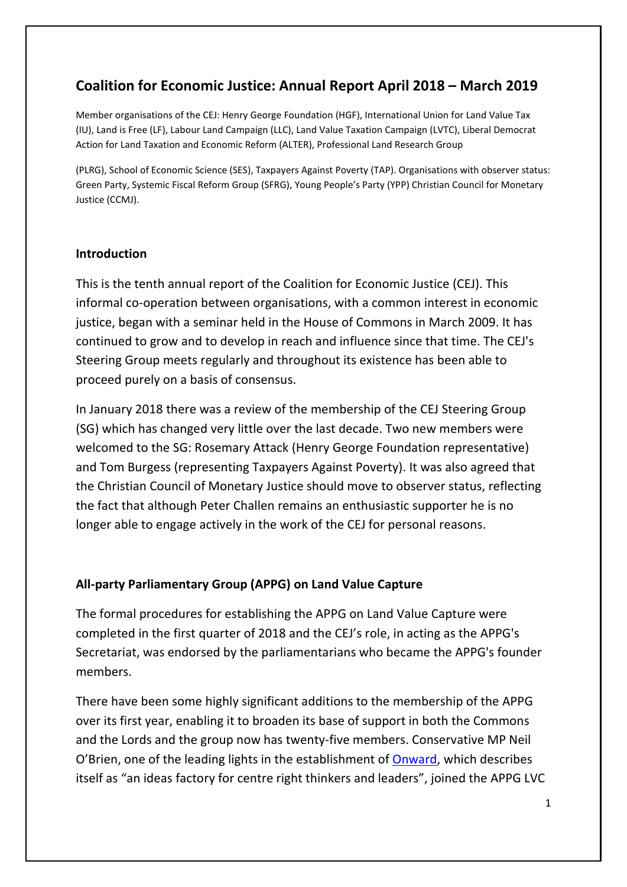# **Coalition for Economic Justice: Annual Report April 2018 – March 2019**

Member organisations of the CEJ: Henry George Foundation (HGF), International Union for Land Value Tax (IU), Land is Free (LF), Labour Land Campaign (LLC), Land Value Taxation Campaign (LVTC), Liberal Democrat Action for Land Taxation and Economic Reform (ALTER), Professional Land Research Group

(PLRG), School of Economic Science (SES), Taxpayers Against Poverty (TAP). Organisations with observer status: Green Party, Systemic Fiscal Reform Group (SFRG), Young People's Party (YPP) Christian Council for Monetary Justice (CCMJ).

## **Introduction**

This is the tenth annual report of the Coalition for Economic Justice (CEJ). This informal co-operation between organisations, with a common interest in economic justice, began with a seminar held in the House of Commons in March 2009. It has continued to grow and to develop in reach and influence since that time. The CEJ's Steering Group meets regularly and throughout its existence has been able to proceed purely on a basis of consensus.

In January 2018 there was a review of the membership of the CEJ Steering Group (SG) which has changed very little over the last decade. Two new members were welcomed to the SG: Rosemary Attack (Henry George Foundation representative) and Tom Burgess (representing Taxpayers Against Poverty). It was also agreed that the Christian Council of Monetary Justice should move to observer status, reflecting the fact that although Peter Challen remains an enthusiastic supporter he is no longer able to engage actively in the work of the CEJ for personal reasons.

# **All-party Parliamentary Group (APPG) on Land Value Capture**

The formal procedures for establishing the APPG on Land Value Capture were completed in the first quarter of 2018 and the CEJ's role, in acting as the APPG's Secretariat, was endorsed by the parliamentarians who became the APPG's founder members.

There have been some highly significant additions to the membership of the APPG over its first year, enabling it to broaden its base of support in both the Commons and the Lords and the group now has twenty-five members. Conservative MP Neil O'Brien, one of the leading lights in the establishment of [Onward,](https://www.ukonward.com/) which describes itself as "an ideas factory for centre right thinkers and leaders", joined the APPG LVC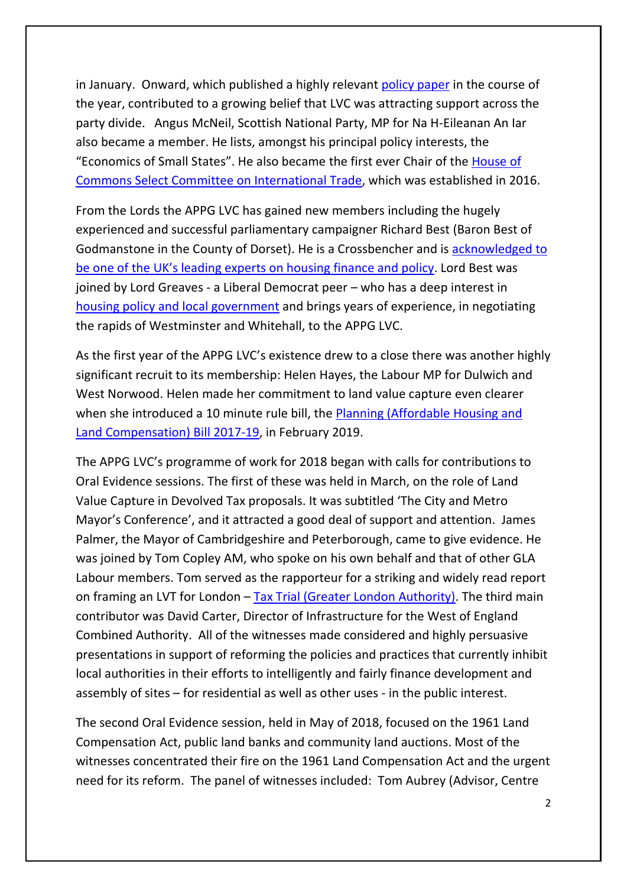in January. Onward, which published a highly relevant [policy paper](https://www.ukonward.com/new-policy-paper-green-pleasant-and-affordable-by-neil-obrien-mp/) in the course of the year, contributed to a growing belief that LVC was attracting support across the party divide. Angus McNeil, Scottish National Party, MP for Na H-Eileanan An Iar also became a member. He lists, amongst his principal policy interests, the "Economics of Small States". He also became the first ever Chair of the [House of](https://www.parliament.uk/business/committees/committees-a-z/commons-select/international-trade-committee/)  [Commons Select Committee on International Trade,](https://www.parliament.uk/business/committees/committees-a-z/commons-select/international-trade-committee/) which was established in 2016.

From the Lords the APPG LVC has gained new members including the hugely experienced and successful parliamentary campaigner Richard Best (Baron Best of Godmanstone in the County of Dorset). He is a Crossbencher and is [acknowledged to](https://congress.academyofurbanism.org.uk/2019/04/26/lord-richard-best-obe-chair-the-affordable-housing-commission/)  [be one of the UK's leading experts on housing finance and policy.](https://congress.academyofurbanism.org.uk/2019/04/26/lord-richard-best-obe-chair-the-affordable-housing-commission/) Lord Best was joined by Lord Greaves - a Liberal Democrat peer – who has a deep interest in housing policy [and local government](http://liberallord.com/2015/06/04/liberal-lord-tony-greaves-discusses-shortage-of-affordable-housing-uk/) and brings years of experience, in negotiating the rapids of Westminster and Whitehall, to the APPG LVC.

As the first year of the APPG LVC's existence drew to a close there was another highly significant recruit to its membership: Helen Hayes, the Labour MP for Dulwich and West Norwood. Helen made her commitment to land value capture even clearer when she introduced a 10 minute rule bill, the [Planning \(Affordable Housing and](https://services.parliament.uk/bills/2017-19/planningaffordablehousingandlandcompensation.html)  [Land Compensation\) Bill 2017-19,](https://services.parliament.uk/bills/2017-19/planningaffordablehousingandlandcompensation.html) in February 2019.

The APPG LVC's programme of work for 2018 began with calls for contributions to Oral Evidence sessions. The first of these was held in March, on the role of Land Value Capture in Devolved Tax proposals. It was subtitled 'The City and Metro Mayor's Conference', and it attracted a good deal of support and attention. James Palmer, the Mayor of Cambridgeshire and Peterborough, came to give evidence. He was joined by Tom Copley AM, who spoke on his own behalf and that of other GLA Labour members. Tom served as the rapporteur for a striking and widely read report on framing an LVT for London – Tax Trial (Greater [London Authority\).](https://www.london.gov.uk/sites/default/files/final-draft-lvt-report_2.pdf) The third main contributor was David Carter, Director of Infrastructure for the West of England Combined Authority. All of the witnesses made considered and highly persuasive presentations in support of reforming the policies and practices that currently inhibit local authorities in their efforts to intelligently and fairly finance development and assembly of sites – for residential as well as other uses - in the public interest.

The second Oral Evidence session, held in May of 2018, focused on the 1961 Land Compensation Act, public land banks and community land auctions. Most of the witnesses concentrated their fire on the 1961 Land Compensation Act and the urgent need for its reform. The panel of witnesses included: Tom Aubrey (Advisor, Centre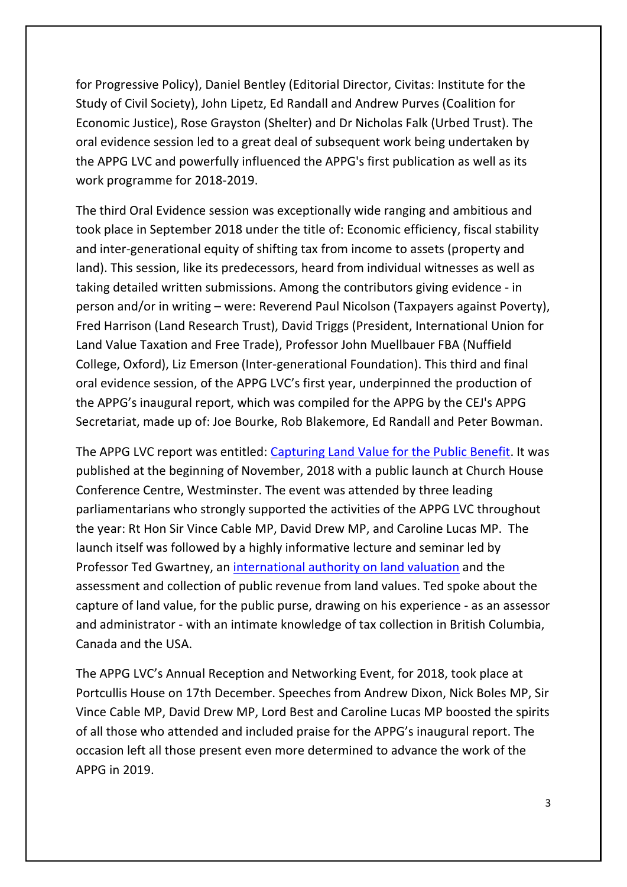for Progressive Policy), Daniel Bentley (Editorial Director, Civitas: Institute for the Study of Civil Society), John Lipetz, Ed Randall and Andrew Purves (Coalition for Economic Justice), Rose Grayston (Shelter) and Dr Nicholas Falk (Urbed Trust). The oral evidence session led to a great deal of subsequent work being undertaken by the APPG LVC and powerfully influenced the APPG's first publication as well as its work programme for 2018-2019.

The third Oral Evidence session was exceptionally wide ranging and ambitious and took place in September 2018 under the title of: Economic efficiency, fiscal stability and inter-generational equity of shifting tax from income to assets (property and land). This session, like its predecessors, heard from individual witnesses as well as taking detailed written submissions. Among the contributors giving evidence - in person and/or in writing – were: Reverend Paul Nicolson (Taxpayers against Poverty), Fred Harrison (Land Research Trust), David Triggs (President, International Union for Land Value Taxation and Free Trade), Professor John Muellbauer FBA (Nuffield College, Oxford), Liz Emerson (Inter-generational Foundation). This third and final oral evidence session, of the APPG LVC's first year, underpinned the production of the APPG's inaugural report, which was compiled for the APPG by the CEJ's APPG Secretariat, made up of: Joe Bourke, Rob Blakemore, Ed Randall and Peter Bowman.

The APPG LVC report was entitled: [Capturing Land Value for the Public Benefit.](http://bit.ly/APPG-LVC-Report-1) It was published at the beginning of November, 2018 with a public launch at Church House Conference Centre, Westminster. The event was attended by three leading parliamentarians who strongly supported the activities of the APPG LVC throughout the year: Rt Hon Sir Vince Cable MP, David Drew MP, and Caroline Lucas MP. The launch itself was followed by a highly informative lecture and seminar led by Professor Ted Gwartney, an [international authority on land valuation](https://www.themintmagazine.com/people/ted-gwartney) and the assessment and collection of public revenue from land values. Ted spoke about the capture of land value, for the public purse, drawing on his experience - as an assessor and administrator - with an intimate knowledge of tax collection in British Columbia, Canada and the USA.

The APPG LVC's Annual Reception and Networking Event, for 2018, took place at Portcullis House on 17th December. Speeches from Andrew Dixon, Nick Boles MP, Sir Vince Cable MP, David Drew MP, Lord Best and Caroline Lucas MP boosted the spirits of all those who attended and included praise for the APPG's inaugural report. The occasion left all those present even more determined to advance the work of the APPG in 2019.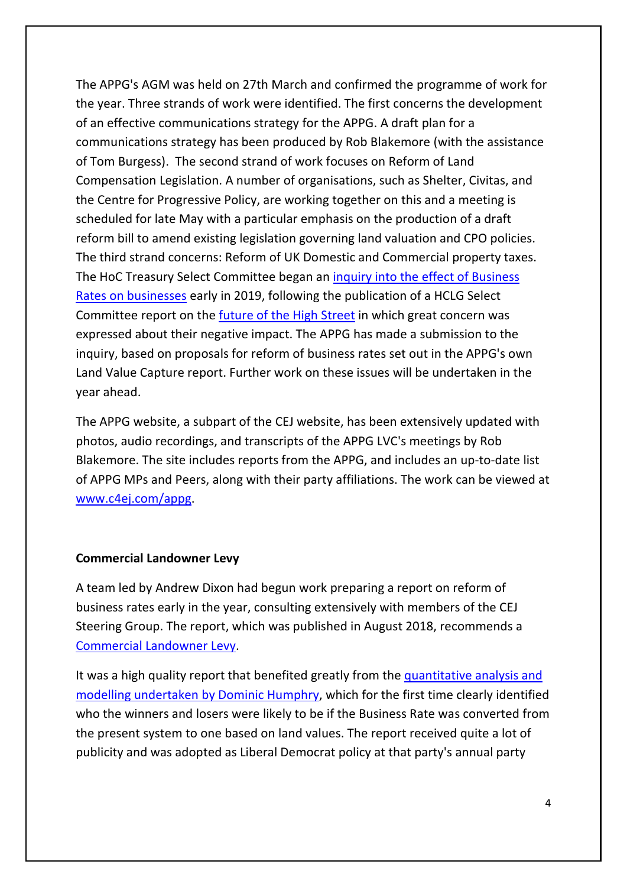The APPG's AGM was held on 27th March and confirmed the programme of work for the year. Three strands of work were identified. The first concerns the development of an effective communications strategy for the APPG. A draft plan for a communications strategy has been produced by Rob Blakemore (with the assistance of Tom Burgess). The second strand of work focuses on Reform of Land Compensation Legislation. A number of organisations, such as Shelter, Civitas, and the Centre for Progressive Policy, are working together on this and a meeting is scheduled for late May with a particular emphasis on the production of a draft reform bill to amend existing legislation governing land valuation and CPO policies. The third strand concerns: Reform of UK Domestic and Commercial property taxes. The HoC Treasury Select Committee began an [inquiry into the effect of Business](https://www.parliament.uk/business/committees/committees-a-z/commons-select/treasury-committee/inquiries1/parliament-2017/inquiry3/)  [Rates on businesses](https://www.parliament.uk/business/committees/committees-a-z/commons-select/treasury-committee/inquiries1/parliament-2017/inquiry3/) early in 2019, following the publication of a HCLG Select Committee report on the [future of the High Street](https://publications.parliament.uk/pa/cm201719/cmselect/cmcomloc/1010/1010.pdf) in which great concern was expressed about their negative impact. The APPG has made a submission to the inquiry, based on proposals for reform of business rates set out in the APPG's own Land Value Capture report. Further work on these issues will be undertaken in the year ahead.

The APPG website, a subpart of the CEJ website, has been extensively updated with photos, audio recordings, and transcripts of the APPG LVC's meetings by Rob Blakemore. The site includes reports from the APPG, and includes an up-to-date list of APPG MPs and Peers, along with their party affiliations. The work can be viewed at [www.c4ej.com/appg.](http://www.c4ej.com/appg)

#### **Commercial Landowner Levy**

A team led by Andrew Dixon had begun work preparing a report on reform of business rates early in the year, consulting extensively with members of the CEJ Steering Group. The report, which was published in August 2018, recommends a [Commercial Landowner Levy.](https://d3n8a8pro7vhmx.cloudfront.net/libdems/pages/43650/attachments/original/1535560302/Business_Rates.pdf?1535560302)

It was a high quality report that benefited greatly from the [quantitative analysis and](https://uk.linkedin.com/in/dghumphrey)  [modelling undertaken by Dominic Humphry,](https://uk.linkedin.com/in/dghumphrey) which for the first time clearly identified who the winners and losers were likely to be if the Business Rate was converted from the present system to one based on land values. The report received quite a lot of publicity and was adopted as Liberal Democrat policy at that party's annual party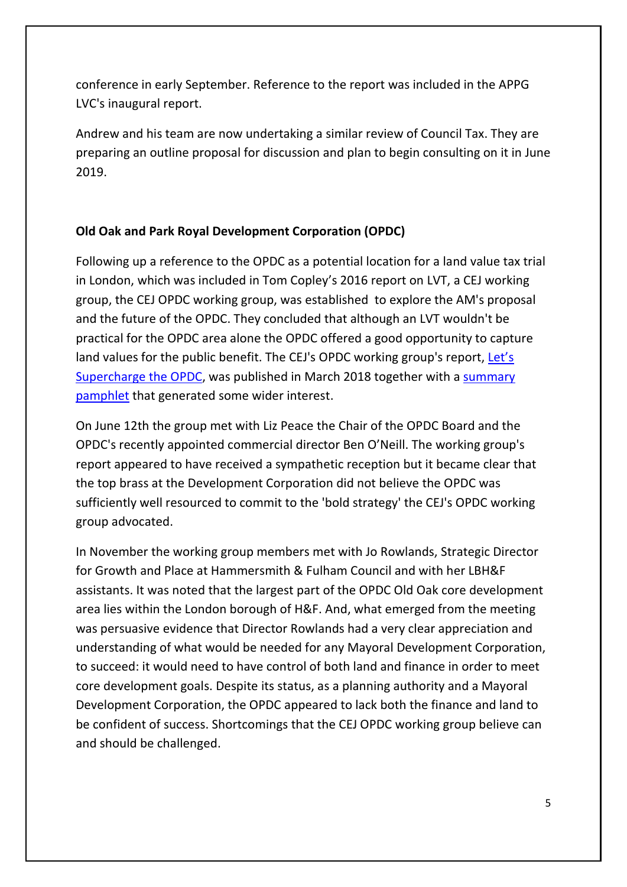conference in early September. Reference to the report was included in the APPG LVC's inaugural report.

Andrew and his team are now undertaking a similar review of Council Tax. They are preparing an outline proposal for discussion and plan to begin consulting on it in June 2019.

# **Old Oak and Park Royal Development Corporation (OPDC)**

Following up a reference to the OPDC as a potential location for a land value tax trial in London, which was included in Tom Copley's 2016 report on LVT, a CEJ working group, the CEJ OPDC working group, was established to explore the AM's proposal and the future of the OPDC. They concluded that although an LVT wouldn't be practical for the OPDC area alone the OPDC offered a good opportunity to capture land values for the public benefit. The CEJ's OPDC working group's report, Let's [Supercharge the OPDC,](https://docs.google.com/viewer?a=v&pid=sites&srcid=ZGVmYXVsdGRvbWFpbnxjb2FsaXRpb25mb3JlY29ub21pY2p1c3RpY2V8Z3g6MTZiMDM5Y2I5NmNhMjVjNQ) was published in March 2018 together with a [summary](https://docs.google.com/viewer?a=v&pid=sites&srcid=ZGVmYXVsdGRvbWFpbnxjb2FsaXRpb25mb3JlY29ub21pY2p1c3RpY2V8Z3g6M2ZiOTQ4ZjM5N2FjODBjNA)  [pamphlet](https://docs.google.com/viewer?a=v&pid=sites&srcid=ZGVmYXVsdGRvbWFpbnxjb2FsaXRpb25mb3JlY29ub21pY2p1c3RpY2V8Z3g6M2ZiOTQ4ZjM5N2FjODBjNA) that generated some wider interest.

On June 12th the group met with Liz Peace the Chair of the OPDC Board and the OPDC's recently appointed commercial director Ben O'Neill. The working group's report appeared to have received a sympathetic reception but it became clear that the top brass at the Development Corporation did not believe the OPDC was sufficiently well resourced to commit to the 'bold strategy' the CEJ's OPDC working group advocated.

In November the working group members met with Jo Rowlands, Strategic Director for Growth and Place at Hammersmith & Fulham Council and with her LBH&F assistants. It was noted that the largest part of the OPDC Old Oak core development area lies within the London borough of H&F. And, what emerged from the meeting was persuasive evidence that Director Rowlands had a very clear appreciation and understanding of what would be needed for any Mayoral Development Corporation, to succeed: it would need to have control of both land and finance in order to meet core development goals. Despite its status, as a planning authority and a Mayoral Development Corporation, the OPDC appeared to lack both the finance and land to be confident of success. Shortcomings that the CEJ OPDC working group believe can and should be challenged.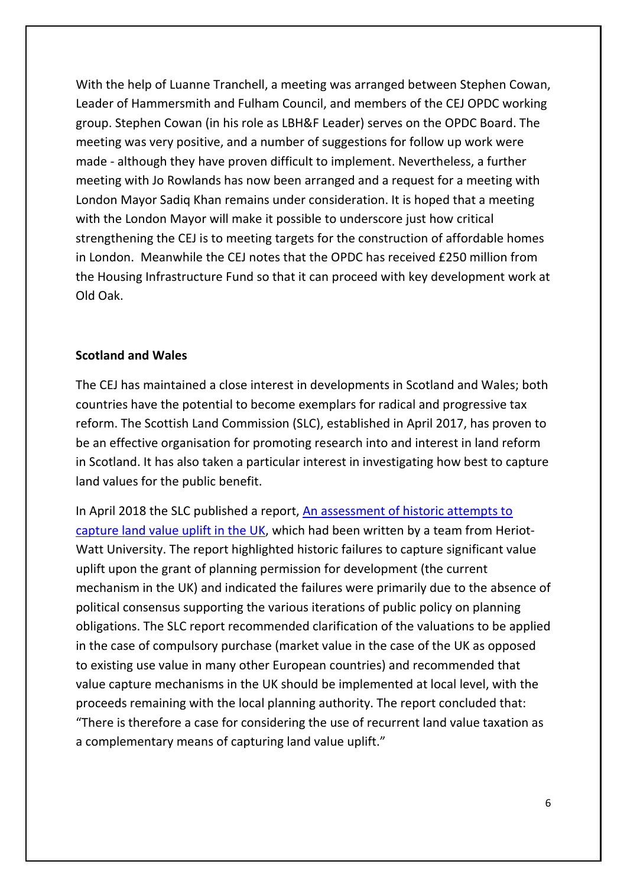With the help of Luanne Tranchell, a meeting was arranged between Stephen Cowan, Leader of Hammersmith and Fulham Council, and members of the CEJ OPDC working group. Stephen Cowan (in his role as LBH&F Leader) serves on the OPDC Board. The meeting was very positive, and a number of suggestions for follow up work were made - although they have proven difficult to implement. Nevertheless, a further meeting with Jo Rowlands has now been arranged and a request for a meeting with London Mayor Sadiq Khan remains under consideration. It is hoped that a meeting with the London Mayor will make it possible to underscore just how critical strengthening the CEJ is to meeting targets for the construction of affordable homes in London. Meanwhile the CEJ notes that the OPDC has received £250 million from the Housing Infrastructure Fund so that it can proceed with key development work at Old Oak.

### **Scotland and Wales**

The CEJ has maintained a close interest in developments in Scotland and Wales; both countries have the potential to become exemplars for radical and progressive tax reform. The Scottish Land Commission (SLC), established in April 2017, has proven to be an effective organisation for promoting research into and interest in land reform in Scotland. It has also taken a particular interest in investigating how best to capture land values for the public benefit.

In April 2018 the SLC published a report, An assessment of historic attempts to [capture land value uplift in the UK,](https://landcommission.gov.scot/wp-content/uploads/2018/05/Historic-Approaches-to-Land-Value-Capture-in-the-UK-Final-report-9Apr18.pdf) which had been written by a team from Heriot-Watt University. The report highlighted historic failures to capture significant value uplift upon the grant of planning permission for development (the current mechanism in the UK) and indicated the failures were primarily due to the absence of political consensus supporting the various iterations of public policy on planning obligations. The SLC report recommended clarification of the valuations to be applied in the case of compulsory purchase (market value in the case of the UK as opposed to existing use value in many other European countries) and recommended that value capture mechanisms in the UK should be implemented at local level, with the proceeds remaining with the local planning authority. The report concluded that: "There is therefore a case for considering the use of recurrent land value taxation as a complementary means of capturing land value uplift."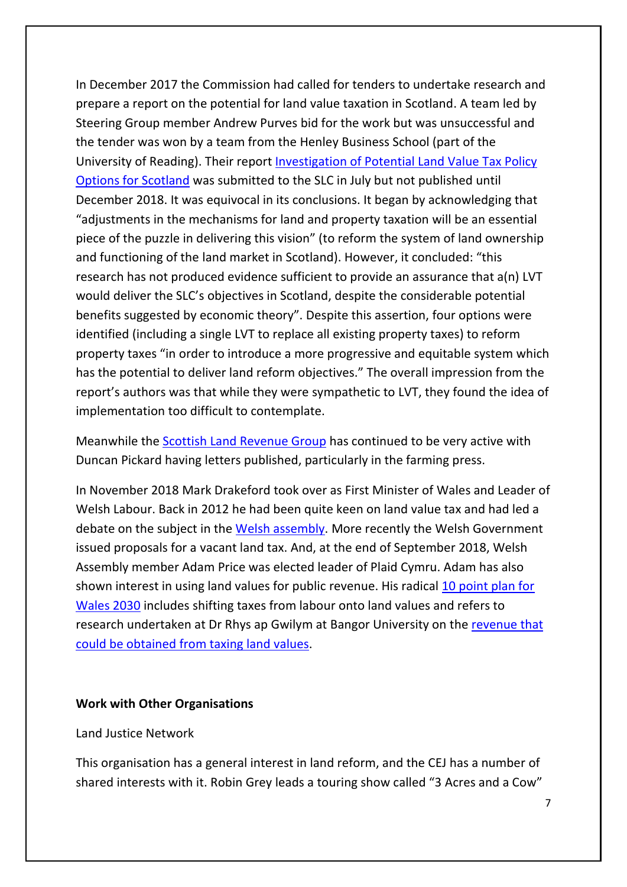In December 2017 the Commission had called for tenders to undertake research and prepare a report on the potential for land value taxation in Scotland. A team led by Steering Group member Andrew Purves bid for the work but was unsuccessful and the tender was won by a team from the Henley Business School (part of the University of Reading). Their report [Investigation of Potential Land Value Tax Policy](https://landcommission.gov.scot/wp-content/uploads/2018/12/Land-Value-Tax-Policy-Options-for-Scotland-Final-Report-23-7-18.pdf)  [Options for Scotland](https://landcommission.gov.scot/wp-content/uploads/2018/12/Land-Value-Tax-Policy-Options-for-Scotland-Final-Report-23-7-18.pdf) was submitted to the SLC in July but not published until December 2018. It was equivocal in its conclusions. It began by acknowledging that "adjustments in the mechanisms for land and property taxation will be an essential piece of the puzzle in delivering this vision" (to reform the system of land ownership and functioning of the land market in Scotland). However, it concluded: "this research has not produced evidence sufficient to provide an assurance that a(n) LVT would deliver the SLC's objectives in Scotland, despite the considerable potential benefits suggested by economic theory". Despite this assertion, four options were identified (including a single LVT to replace all existing property taxes) to reform property taxes "in order to introduce a more progressive and equitable system which has the potential to deliver land reform objectives." The overall impression from the report's authors was that while they were sympathetic to LVT, they found the idea of implementation too difficult to contemplate.

Meanwhile the [Scottish Land Revenue Group](http://slrg.scot/) has continued to be very active with Duncan Pickard having letters published, particularly in the farming press.

In November 2018 Mark Drakeford took over as First Minister of Wales and Leader of Welsh Labour. Back in 2012 he had been quite keen on land value tax and had led a debate on the subject in the [Welsh assembly.](https://www.assembly.wales/en/bus-home/research/financial-scrutiny/Pages/TaxPresent.aspx) More recently the Welsh Government issued proposals for a vacant land tax. And, at the end of September 2018, Welsh Assembly member Adam Price was elected leader of Plaid Cymru. Adam has also shown interest in using land values for public revenue. His radical [10 point plan for](https://housingnet.co.uk/pdf/Adam_Price_-_National_Economic_Plan.pdf)  [Wales 2030](https://housingnet.co.uk/pdf/Adam_Price_-_National_Economic_Plan.pdf) includes shifting taxes from labour onto land values and refers to research undertaken at Dr Rhys ap Gwilym at Bangor University on the [revenue that](https://www.iwa.wales/click/2017/07/case-land-value-tax-wales/)  [could be obtained from taxing land values.](https://www.iwa.wales/click/2017/07/case-land-value-tax-wales/)

#### **Work with Other Organisations**

#### Land Justice Network

This organisation has a general interest in land reform, and the CEJ has a number of shared interests with it. Robin Grey leads a touring show called "3 Acres and a Cow"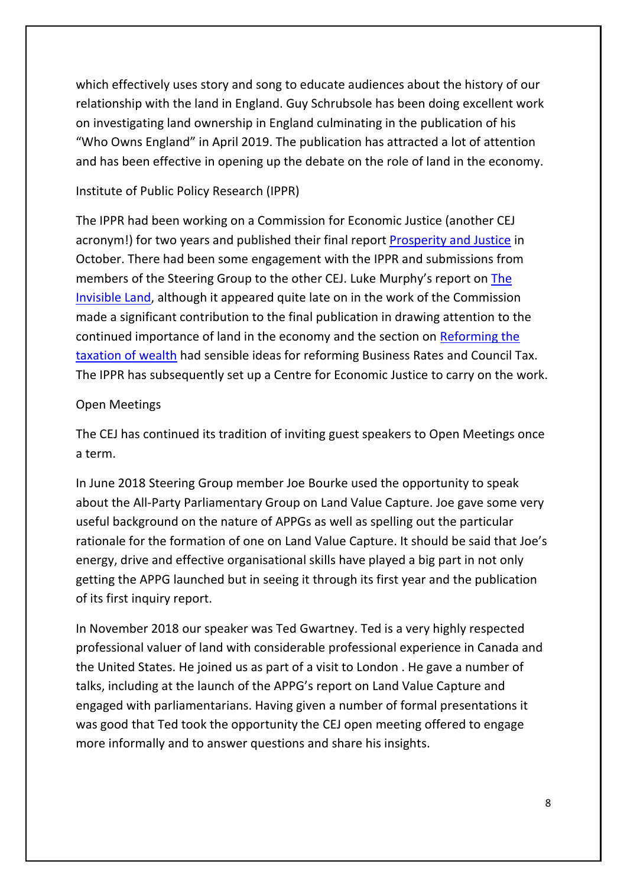which effectively uses story and song to educate audiences about the history of our relationship with the land in England. Guy Schrubsole has been doing excellent work on investigating land ownership in England culminating in the publication of his "Who Owns England" in April 2019. The publication has attracted a lot of attention and has been effective in opening up the debate on the role of land in the economy.

### Institute of Public Policy Research (IPPR)

The IPPR had been working on a Commission for Economic Justice (another CEJ acronym!) for two years and published their final report [Prosperity and Justice](https://www.ippr.org/research/publications/prosperity-and-justice) in October. There had been some engagement with the IPPR and submissions from members of the Steering Group to the other CEJ. Luke Murphy's report on [The](https://www.ippr.org/research/publications/the-invisible-land)  [Invisible Land,](https://www.ippr.org/research/publications/the-invisible-land) although it appeared quite late on in the work of the Commission made a significant contribution to the final publication in drawing attention to the continued importance of land in the economy and the section on [Reforming the](https://issuu.com/ippr/docs/cej_a_wealth_of_difference_sept18)  [taxation of wealth](https://issuu.com/ippr/docs/cej_a_wealth_of_difference_sept18) had sensible ideas for reforming Business Rates and Council Tax. The IPPR has subsequently set up a Centre for Economic Justice to carry on the work.

### Open Meetings

The CEJ has continued its tradition of inviting guest speakers to Open Meetings once a term.

In June 2018 Steering Group member Joe Bourke used the opportunity to speak about the All-Party Parliamentary Group on Land Value Capture. Joe gave some very useful background on the nature of APPGs as well as spelling out the particular rationale for the formation of one on Land Value Capture. It should be said that Joe's energy, drive and effective organisational skills have played a big part in not only getting the APPG launched but in seeing it through its first year and the publication of its first inquiry report.

In November 2018 our speaker was Ted Gwartney. Ted is a very highly respected professional valuer of land with considerable professional experience in Canada and the United States. He joined us as part of a visit to London . He gave a number of talks, including at the launch of the APPG's report on Land Value Capture and engaged with parliamentarians. Having given a number of formal presentations it was good that Ted took the opportunity the CEJ open meeting offered to engage more informally and to answer questions and share his insights.